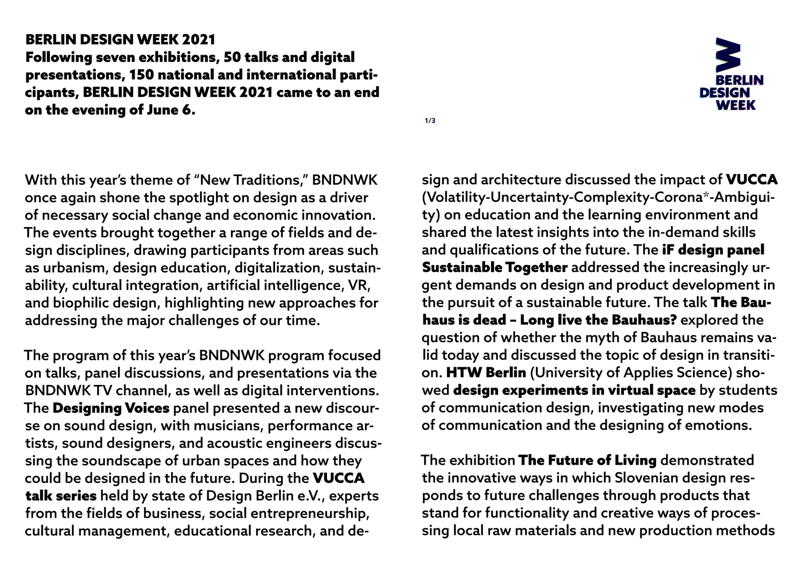**1/3**



sign and architecture discussed the impact of VUCCA (Volatility-Uncertainty-Complexity-Corona\*-Ambiguity) on education and the learning environment and shared the latest insights into the in-demand skills and qualifications of the future. The iF design panel Sustainable Together addressed the increasingly urgent demands on design and product development in the pursuit of a sustainable future. The talk The Bauhaus is dead – Long live the Bauhaus? explored the question of whether the myth of Bauhaus remains valid today and discussed the topic of design in transition. HTW Berlin (University of Applies Science) showed design experiments in virtual space by students of communication design, investigating new modes of communication and the designing of emotions.

The exhibition The Future of Living demonstrated the innovative ways in which Slovenian design responds to future challenges through products that stand for functionality and creative ways of processing local raw materials and new production methods

## BERLIN DESIGN WEEK 2021 Following seven exhibitions, 50 talks and digital presentations, 150 national and international participants, BERLIN DESIGN WEEK 2021 came to an end on the evening of June 6.

With this year's theme of "New Traditions," BNDNWK once again shone the spotlight on design as a driver of necessary social change and economic innovation. The events brought together a range of fields and design disciplines, drawing participants from areas such as urbanism, design education, digitalization, sustainability, cultural integration, artificial intelligence, VR, and biophilic design, highlighting new approaches for addressing the major challenges of our time.

The program of this year's BNDNWK program focused on talks, panel discussions, and presentations via the BNDNWK TV channel, as well as digital interventions. The Designing Voices panel presented a new discourse on sound design, with musicians, performance artists, sound designers, and acoustic engineers discussing the soundscape of urban spaces and how they could be designed in the future. During the VUCCA talk series held by state of Design Berlin e.V., experts from the fields of business, social entrepreneurship, cultural management, educational research, and de-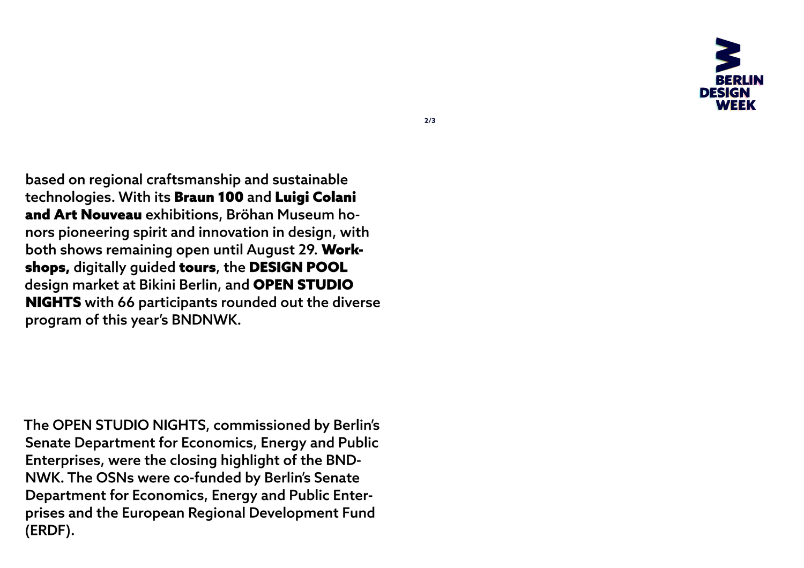

based on regional craftsmanship and sustainable technologies. With its Braun 100 and Luigi Colani and Art Nouveau exhibitions, Bröhan Museum honors pioneering spirit and innovation in design, with both shows remaining open until August 29. Workshops, digitally guided tours, the DESIGN POOL design market at Bikini Berlin, and OPEN STUDIO NIGHTS with 66 participants rounded out the diverse program of this year's BNDNWK.

The OPEN STUDIO NIGHTS, commissioned by Berlin's Senate Department for Economics, Energy and Public Enterprises, were the closing highlight of the BND-NWK. The OSNs were co-funded by Berlin's Senate Department for Economics, Energy and Public Enterprises and the European Regional Development Fund (ERDF).